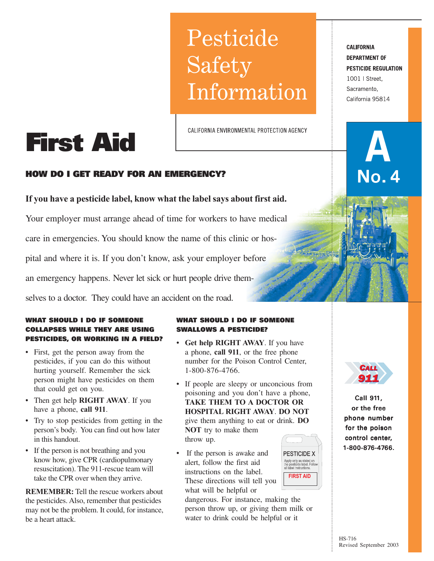# Pesticide Safety Information

CALIFORNIA ENVIRONMENTAL PROTECTION AGENCY

# **HOW DO I GET READY FOR AN EMERGENCY?**

**First Aid**

# **If you have a pesticide label, know what the label says about first aid.**

Your employer must arrange ahead of time for workers to have medical care in emergencies. You should know the name of this clinic or hospital and where it is. If you don't know, ask your employer before an emergency happens. Never let sick or hurt people drive them-

selves to a doctor. They could have an accident on the road.

# **WHAT SHOULD I DO IF SOMEONE COLLAPSES WHILE THEY ARE USING PESTICIDES, OR WORKING IN A FIELD?**

- First, get the person away from the pesticides, if you can do this without hurting yourself. Remember the sick person might have pesticides on them that could get on you.
- Then get help **RIGHT AWAY**. If you have a phone, **call 911**.
- Try to stop pesticides from getting in the person's body. You can find out how later in this handout.
- If the person is not breathing and you know how, give CPR (cardiopulmonary resuscitation). The 911-rescue team will take the CPR over when they arrive.

**REMEMBER:** Tell the rescue workers about the pesticides. Also, remember that pesticides may not be the problem. It could, for instance, be a heart attack.

## **WHAT SHOULD I DO IF SOMEONE SWALLOWS A PESTICIDE?**

- **Get help RIGHT AWAY**. If you have a phone, **call 911**, or the free phone number for the Poison Control Center, 1-800-876-4766.
- If people are sleepy or unconcious from poisoning and you don't have a phone, **TAKE THEM TO A DOCTOR OR HOSPITAL RIGHT AWAY**. **DO NOT** give them anything to eat or drink. **DO NOT** try to make them throw up.
- If the person is awake and alert, follow the first aid instructions on the label. These directions will tell you what will be helpful or

dangerous. For instance, making the person throw up, or giving them milk or water to drink could be helpful or it





Call 911, or the free phone number for the poison control center, 1-800-876-4766. **911**<br> **11**<br>
Call 911,<br>
or the free<br>
phone number<br>
for the poison<br>
control center,<br>
1-800-876-4766.

**CALIFORNIA DEPARTMENT OF PESTICIDE REGULATION** 1001 | Street, Sacramento. California 95814

No. 4